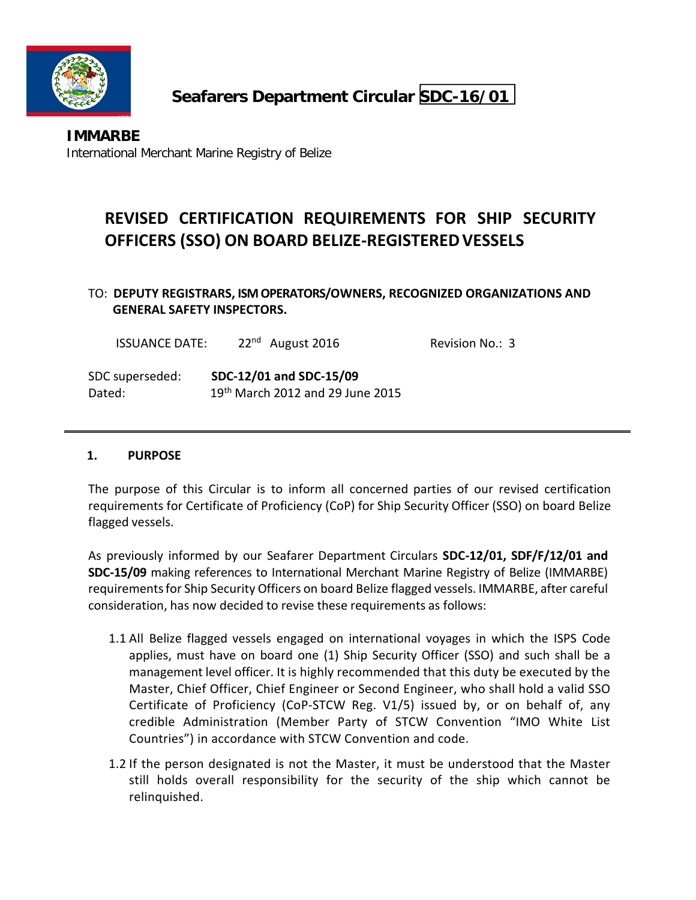

# **Seafarers Department Circular SDC-16/01**

# **REVISED CERTIFICATION REQUIREMENTS FOR SHIP SECURITY OFFICERS (SSO) ON BOARD BELIZE‐REGISTEREDVESSELS**

## TO: **DEPUTY REGISTRARS, ISM OPERATORS/OWNERS, RECOGNIZED ORGANIZATIONS AND GENERAL SAFETY INSPECTORS.**

| <b>ISSUANCE DATE:</b> | $22nd$ August 2016                           | Revision No.: 3 |
|-----------------------|----------------------------------------------|-----------------|
| SDC superseded:       | SDC-12/01 and SDC-15/09                      |                 |
| Dated:                | 19 <sup>th</sup> March 2012 and 29 June 2015 |                 |

#### **1. PURPOSE**

The purpose of this Circular is to inform all concerned parties of our revised certification requirements for Certificate of Proficiency (CoP) for Ship Security Officer (SSO) on board Belize flagged vessels.

As previously informed by our Seafarer Department Circulars **SDC‐12/01, SDF/F/12/01 and SDC‐15/09** making references to International Merchant Marine Registry of Belize (IMMARBE) requirementsfor Ship Security Officers on board Belize flagged vessels. IMMARBE, after careful consideration, has now decided to revise these requirements as follows:

- 1.1 All Belize flagged vessels engaged on international voyages in which the ISPS Code applies, must have on board one (1) Ship Security Officer (SSO) and such shall be a management level officer. It is highly recommended that this duty be executed by the Master, Chief Officer, Chief Engineer or Second Engineer, who shall hold a valid SSO Certificate of Proficiency (CoP‐STCW Reg. V1/5) issued by, or on behalf of, any credible Administration (Member Party of STCW Convention "IMO White List Countries") in accordance with STCW Convention and code.
- 1.2 If the person designated is not the Master, it must be understood that the Master still holds overall responsibility for the security of the ship which cannot be relinquished.